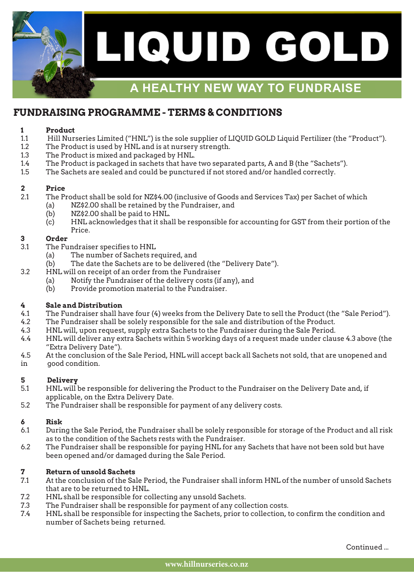

## **FUNDRAISING PROGRAMME - TERMS & CONDITIONS**

#### **1 Product**

- 1.1 Hill Nurseries Limited ("HNL") is the sole supplier of LIQUID GOLD Liquid Fertilizer (the "Product").
- 1.2 The Product is used by HNL and is at nursery strength.
- 1.3 The Product is mixed and packaged by HNL.
- 1.4 The Product is packaged in sachets that have two separated parts, A and B (the "Sachets").
- 1.5 The Sachets are sealed and could be punctured if not stored and/or handled correctly.

### **2 Price**

- 2.1 The Product shall be sold for NZ\$4.00 (inclusive of Goods and Services Tax) per Sachet of which
	- (a) NZ\$2.00 shall be retained by the Fundraiser, and
	- (b) NZ\$2.00 shall be paid to HNL.
	- (c) HNL acknowledges that it shall be responsible for accounting for GST from their portion of the Price.

#### **3 Order**

- 3.1 The Fundraiser specifies to HNL
	- (a) The number of Sachets required, and
	- (b) The date the Sachets are to be delivered (the "Delivery Date").
- 3.2 HNL will on receipt of an order from the Fundraiser
	- (a) Notify the Fundraiser of the delivery costs (if any), and
	- (b) Provide promotion material to the Fundraiser.

#### **4 Sale and Distribution**

- 4.1 The Fundraiser shall have four (4) weeks from the Delivery Date to sell the Product (the "Sale Period").
- 4.2 The Fundraiser shall be solely responsible for the sale and distribution of the Product.
- 4.3 HNL will, upon request, supply extra Sachets to the Fundraiser during the Sale Period.
- 4.4 HNL will deliver any extra Sachets within 5 working days of a request made under clause 4.3 above (the "Extra Delivery Date").
- 4.5 At the conclusion of the Sale Period, HNL will accept back all Sachets not sold, that are unopened and in good condition.

#### **5 Delivery**

- 5.1 HNL will be responsible for delivering the Product to the Fundraiser on the Delivery Date and, if applicable, on the Extra Delivery Date.
- 5.2 The Fundraiser shall be responsible for payment of any delivery costs.

#### **6 Risk**

- 6.1 During the Sale Period, the Fundraiser shall be solely responsible for storage of the Product and all risk as to the condition of the Sachets rests with the Fundraiser.
- 6.2 The Fundraiser shall be responsible for paying HNL for any Sachets that have not been sold but have been opened and/or damaged during the Sale Period.

### **7 Return of unsold Sachets**

- 7.1 At the conclusion of the Sale Period, the Fundraiser shall inform HNL of the number of unsold Sachets that are to be returned to HNL.
- 7.2 HNL shall be responsible for collecting any unsold Sachets.
- 7.3 The Fundraiser shall be responsible for payment of any collection costs.
- 7.4 HNL shall be responsible for inspecting the Sachets, prior to collection, to confirm the condition and number of Sachets being returned.